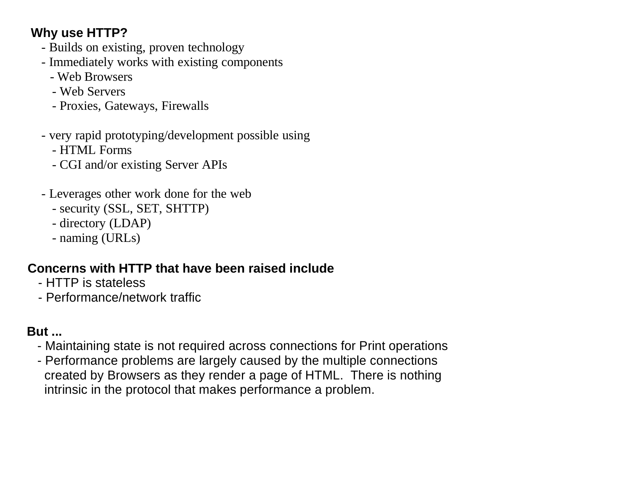# **Why use HTTP?**

- Builds on existing, proven technology
- Immediately works with existing components
	- Web Browsers
	- Web Servers
	- Proxies, Gateways, Firewalls
- very rapid prototyping/development possible using
	- HTML Forms
	- CGI and/or existing Server APIs
- Leverages other work done for the web
	- security (SSL, SET, SHTTP)
	- directory (LDAP)
	- naming (URLs)

# **Concerns with HTTP that have been raised include**

- HTTP is stateless
- Performance/network traffic

# **But ...**

- Maintaining state is not required across connections for Print operations
- Performance problems are largely caused by the multiple connections created by Browsers as they render a page of HTML. There is nothing intrinsic in the protocol that makes performance a problem.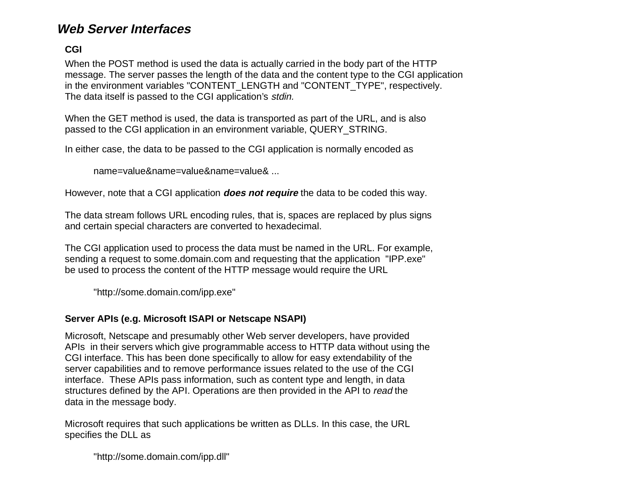### **Web Server Interfaces**

#### **CGI**

When the POST method is used the data is actually carried in the body part of the HTTP message. The server passes the length of the data and the content type to the CGI application in the environment variables "CONTENT\_LENGTH and "CONTENT\_TYPE", respectively. The data itself is passed to the CGI application's stdin.

When the GET method is used, the data is transported as part of the URL, and is also passed to the CGI application in an environment variable, QUERY\_STRING.

In either case, the data to be passed to the CGI application is normally encoded as

name=value&name=value&name=value& ...

However, note that a CGI application **does not require** the data to be coded this way.

The data stream follows URL encoding rules, that is, spaces are replaced by plus signs and certain special characters are converted to hexadecimal.

The CGI application used to process the data must be named in the URL. For example, sending a request to some.domain.com and requesting that the application "IPP.exe" be used to process the content of the HTTP message would require the URL

"http://some.domain.com/ipp.exe"

#### **Server APIs (e.g. Microsoft ISAPI or Netscape NSAPI)**

Microsoft, Netscape and presumably other Web server developers, have provided APIs in their servers which give programmable access to HTTP data without using the CGI interface. This has been done specifically to allow for easy extendability of the server capabilities and to remove performance issues related to the use of the CGI interface. These APIs pass information, such as content type and length, in data structures defined by the API. Operations are then provided in the API to read the data in the message body.

Microsoft requires that such applications be written as DLLs. In this case, the URL specifies the DLL as

"http://some.domain.com/ipp.dll"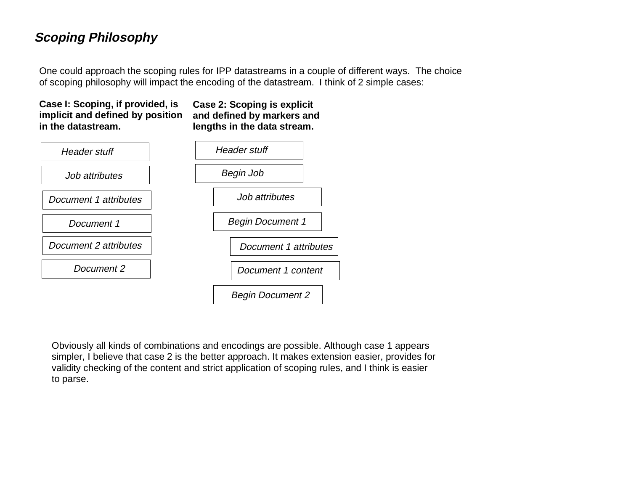## **Scoping Philosophy**

One could approach the scoping rules for IPP datastreams in a couple of different ways. The choice of scoping philosophy will impact the encoding of the datastream. I think of 2 simple cases:

#### **Case I: Scoping, if provided, is implicit and defined by position in the datastream.**

**Case 2: Scoping is explicit and defined by markers and lengths in the data stream.**



Obviously all kinds of combinations and encodings are possible. Although case 1 appears simpler, I believe that case 2 is the better approach. It makes extension easier, provides for validity checking of the content and strict application of scoping rules, and I think is easier to parse.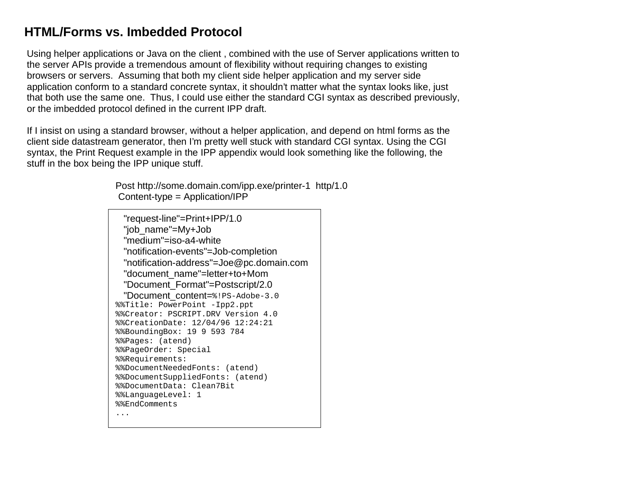## **HTML/Forms vs. Imbedded Protocol**

Using helper applications or Java on the client , combined with the use of Server applications written to the server APIs provide a tremendous amount of flexibility without requiring changes to existing browsers or servers. Assuming that both my client side helper application and my server side application conform to a standard concrete syntax, it shouldn't matter what the syntax looks like, just that both use the same one. Thus, I could use either the standard CGI syntax as described previously, or the imbedded protocol defined in the current IPP draft.

If I insist on using a standard browser, without a helper application, and depend on html forms as the client side datastream generator, then I'm pretty well stuck with standard CGI syntax. Using the CGI syntax, the Print Request example in the IPP appendix would look something like the following, the stuff in the box being the IPP unique stuff.

> Post http://some.domain.com/ipp.exe/printer-1 http/1.0 Content-type = Application/IPP

 "request-line"=Print+IPP/1.0 "job\_name"=My+Job "medium"=iso-a4-white "notification-events"=Job-completion "notification-address"=Joe@pc.domain.com "document\_name"=letter+to+Mom "Document\_Format"=Postscript/2.0 "Document content=%!PS-Adobe-3.0 %%Title: PowerPoint -Ipp2.ppt %%Creator: PSCRIPT.DRV Version 4.0 %%CreationDate: 12/04/96 12:24:21 %%BoundingBox: 19 9 593 784 %%Pages: (atend) %%PageOrder: Special %%Requirements: %%DocumentNeededFonts: (atend) %%DocumentSuppliedFonts: (atend) %%DocumentData: Clean7Bit%%LanguageLevel: 1 %%EndComments...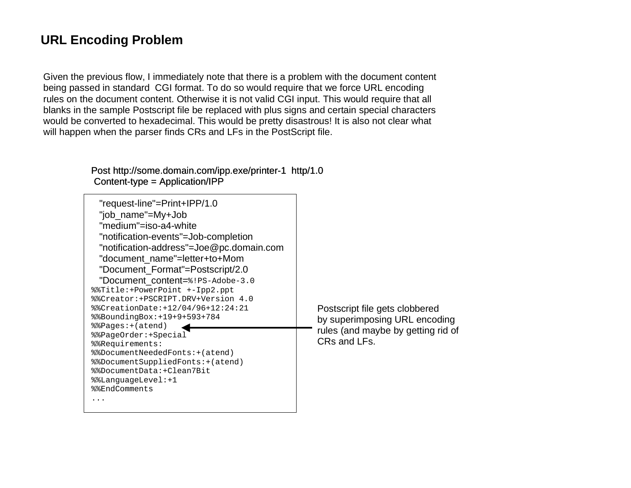## **URL Encoding Problem**

Given the previous flow, I immediately note that there is a problem with the document content being passed in standard CGI format. To do so would require that we force URL encoding rules on the document content. Otherwise it is not valid CGI input. This would require that all blanks in the sample Postscript file be replaced with plus signs and certain special characters would be converted to hexadecimal. This would be pretty disastrous! It is also not clear what will happen when the parser finds CRs and LFs in the PostScript file.

#### Post http://some.domain.com/ipp.exe/printer-1 http/1.0 Content-type = Application/IPP

| "request-line"=Print+IPP/1.0<br>"job_name"=My+Job<br>"medium"=iso-a4-white<br>"notification-events"=Job-completion<br>"notification-address"=Joe@pc.domain.com<br>"document name"=letter+to+Mom<br>"Document_Format"=Postscript/2.0<br>"Document content=%!PS-Adobe-3.0<br>%%Title:+PowerPoint +-Ipp2.ppt<br>%%Creator:+PSCRIPT.DRV+Version 4.0<br>%%CreationDate: +12/04/96+12:24:21<br>$\$ \sepsilongBox:+19+9+593+784<br>%%Pages: + (atend)<br>%%PageOrder:+Special<br>%%Requirements:<br>%%DocumentNeededFonts:+(atend)<br>%%DocumentSuppliedFonts:+(atend)<br>%%DocumentData:+Clean7Bit<br>%%LanquageLevel:+1<br>%%EndComments | Postscript file gets clobbered<br>by superimposing URL encoding<br>rules (and maybe by getting rid of<br>CRs and LFs. |
|-------------------------------------------------------------------------------------------------------------------------------------------------------------------------------------------------------------------------------------------------------------------------------------------------------------------------------------------------------------------------------------------------------------------------------------------------------------------------------------------------------------------------------------------------------------------------------------------------------------------------------------|-----------------------------------------------------------------------------------------------------------------------|
|-------------------------------------------------------------------------------------------------------------------------------------------------------------------------------------------------------------------------------------------------------------------------------------------------------------------------------------------------------------------------------------------------------------------------------------------------------------------------------------------------------------------------------------------------------------------------------------------------------------------------------------|-----------------------------------------------------------------------------------------------------------------------|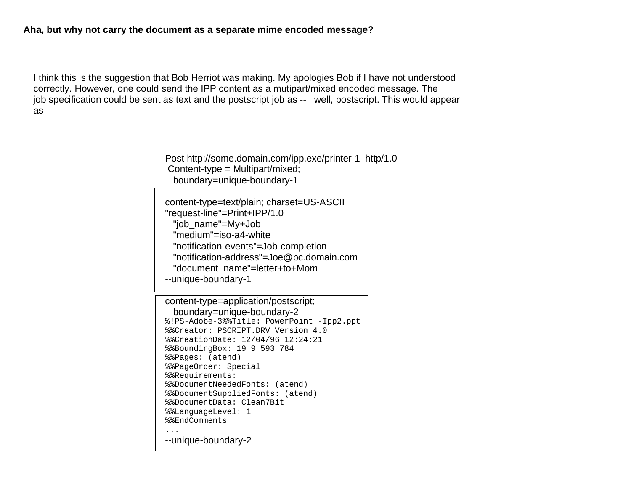I think this is the suggestion that Bob Herriot was making. My apologies Bob if I have not understood correctly. However, one could send the IPP content as a mutipart/mixed encoded message. The job specification could be sent as text and the postscript job as -- well, postscript. This would appear as

> Post http://some.domain.com/ipp.exe/printer-1 http/1.0 Content-type = Multipart/mixed; boundary=unique-boundary-1

content-type=text/plain; charset=US-ASCII "request-line"=Print+IPP/1.0 "job\_name"=My+Job "medium"=iso-a4-white "notification-events"=Job-completion "notification-address"=Joe@pc.domain.com "document\_name"=letter+to+Mom --unique-boundary-1

content-type=application/postscript; boundary=unique-boundary-2 %!PS-Adobe-3%%Title: PowerPoint -Ipp2.ppt %%Creator: PSCRIPT.DRV Version 4.0%%CreationDate: 12/04/96 12:24:21 %%BoundingBox: 19 9 593 784 %%Pages: (atend) %%PageOrder: Special %%Requirements: %%DocumentNeededFonts: (atend) %%DocumentSuppliedFonts: (atend) %%DocumentData: Clean7Bit %%LanguageLevel: 1 %%EndComments...--unique-boundary-2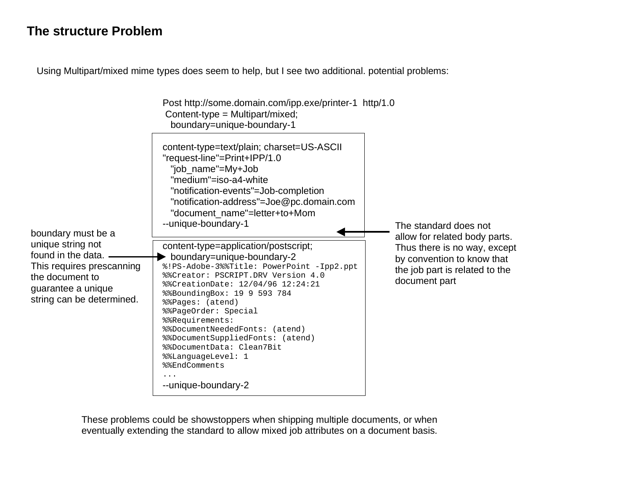### **The structure Problem**

Using Multipart/mixed mime types does seem to help, but I see two additional. potential problems:

| Content-type = Multipart/mixed;<br>boundary=unique-boundary-1                                                                                                                                                                                                                                                                                                                                                                      |                                                                                                               |
|------------------------------------------------------------------------------------------------------------------------------------------------------------------------------------------------------------------------------------------------------------------------------------------------------------------------------------------------------------------------------------------------------------------------------------|---------------------------------------------------------------------------------------------------------------|
| content-type=text/plain; charset=US-ASCII<br>"request-line"=Print+IPP/1.0<br>"job_name"=My+Job<br>"medium"=iso-a4-white<br>"notification-events"=Job-completion<br>"notification-address"=Joe@pc.domain.com<br>"document_name"=letter+to+Mom<br>--unique-boundary-1                                                                                                                                                                | The standard does not<br>allow for related body parts.                                                        |
| content-type=application/postscript;<br>boundary=unique-boundary-2<br>%!PS-Adobe-3%%Title: PowerPoint -Ipp2.ppt<br>%%Creator: PSCRIPT.DRV Version 4.0<br>%%CreationDate: 12/04/96 12:24:21<br>%%BoundingBox: 19 9 593 784<br>%&Pages: (atend)<br>%%PageOrder: Special<br>%%Requirements:<br>%%DocumentNeededFonts: (atend)<br>%%DocumentSuppliedFonts: (atend)<br>%%DocumentData: Clean7Bit<br>%%LanguageLevel: 1<br>%%EndComments | Thus there is no way, except<br>by convention to know that<br>the job part is related to the<br>document part |
|                                                                                                                                                                                                                                                                                                                                                                                                                                    | Post http://some.domain.com/ipp.exe/printer-1 http/1.0<br>--unique-boundary-2                                 |

These problems could be showstoppers when shipping multiple documents, or when eventually extending the standard to allow mixed job attributes on a document basis.